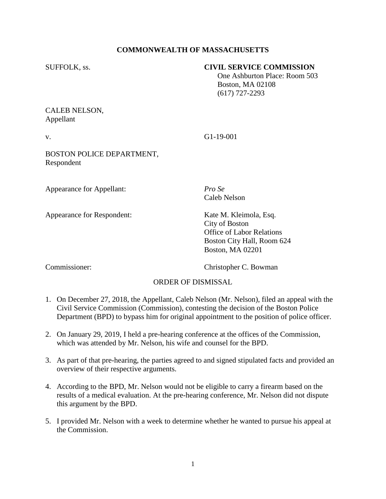## **COMMONWEALTH OF MASSACHUSETTS**

### SUFFOLK, ss. **CIVIL SERVICE COMMISSION**

 One Ashburton Place: Room 503 Boston, MA 02108 (617) 727-2293

## CALEB NELSON, Appellant

v. G1-19-001

BOSTON POLICE DEPARTMENT, Respondent

Appearance for Appellant: *Pro Se*

Appearance for Respondent: Kate M. Kleimola, Esq.

Caleb Nelson

City of Boston Office of Labor Relations Boston City Hall, Room 624 Boston, MA 02201

Commissioner: Christopher C. Bowman

# ORDER OF DISMISSAL

- 1. On December 27, 2018, the Appellant, Caleb Nelson (Mr. Nelson), filed an appeal with the Civil Service Commission (Commission), contesting the decision of the Boston Police Department (BPD) to bypass him for original appointment to the position of police officer.
- 2. On January 29, 2019, I held a pre-hearing conference at the offices of the Commission, which was attended by Mr. Nelson, his wife and counsel for the BPD.
- 3. As part of that pre-hearing, the parties agreed to and signed stipulated facts and provided an overview of their respective arguments.
- 4. According to the BPD, Mr. Nelson would not be eligible to carry a firearm based on the results of a medical evaluation. At the pre-hearing conference, Mr. Nelson did not dispute this argument by the BPD.
- 5. I provided Mr. Nelson with a week to determine whether he wanted to pursue his appeal at the Commission.